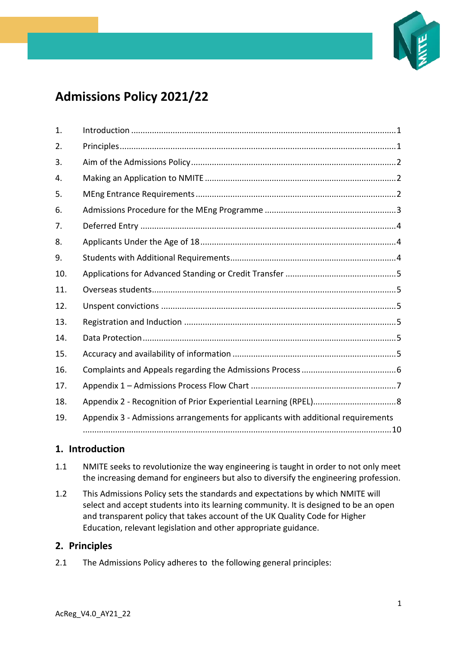

# **Admissions Policy 2021/22**

| 1.  |                                                                                  |
|-----|----------------------------------------------------------------------------------|
| 2.  |                                                                                  |
| 3.  |                                                                                  |
| 4.  |                                                                                  |
| 5.  |                                                                                  |
| 6.  |                                                                                  |
| 7.  |                                                                                  |
| 8.  |                                                                                  |
| 9.  |                                                                                  |
| 10. |                                                                                  |
| 11. |                                                                                  |
| 12. |                                                                                  |
| 13. |                                                                                  |
| 14. |                                                                                  |
| 15. |                                                                                  |
| 16. |                                                                                  |
| 17. |                                                                                  |
| 18. |                                                                                  |
| 19. | Appendix 3 - Admissions arrangements for applicants with additional requirements |
|     |                                                                                  |

## <span id="page-0-0"></span>**1. Introduction**

- 1.1 NMITE seeks to revolutionize the way engineering is taught in order to not only meet the increasing demand for engineers but also to diversify the engineering profession.
- 1.2 This Admissions Policy sets the standards and expectations by which NMITE will select and accept students into its learning community. It is designed to be an open and transparent policy that takes account of the UK Quality Code for Higher Education, relevant legislation and other appropriate guidance.

### <span id="page-0-1"></span>**2. Principles**

2.1 The Admissions Policy adheres to the following general principles: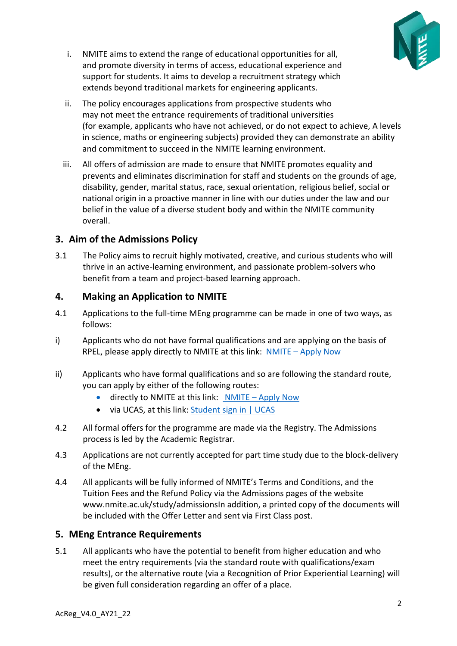

- i. NMITE aims to extend the range of educational opportunities for all, and promote diversity in terms of access, educational experience and support for students. It aims to develop a recruitment strategy which extends beyond traditional markets for engineering applicants.
- ii. The policy encourages applications from prospective students who may not meet the entrance requirements of traditional universities (for example, applicants who have not achieved, or do not expect to achieve, A levels in science, maths or engineering subjects) provided they can demonstrate an ability and commitment to succeed in the NMITE learning environment.
- iii. All offers of admission are made to ensure that NMITE promotes equality and prevents and eliminates discrimination for staff and students on the grounds of age, disability, gender, marital status, race, sexual orientation, religious belief, social or national origin in a proactive manner in line with our duties under the law and our belief in the value of a diverse student body and within the NMITE community overall.

## <span id="page-1-0"></span>**3. Aim of the Admissions Policy**

3.1 The Policy aims to recruit highly motivated, creative, and curious students who will thrive in an active-learning environment, and passionate problem-solvers who benefit from a team and project-based learning approach.

### <span id="page-1-1"></span>**4. Making an Application to NMITE**

- 4.1 Applications to the full-time MEng programme can be made in one of two ways, as follows:
- i) Applicants who do not have formal qualifications and are applying on the basis of RPEL, please apply directly to NMITE at this link: NMITE – [Apply Now](https://nmite.ac.uk/study)
- ii) Applicants who have formal qualifications and so are following the standard route, you can apply by either of the following routes:
	- directly to NMITE at this link: NMITE Apply Now
	- via UCAS, at this link: [Student sign in | UCAS](https://www.ucas.com/students)
- 4.2 All formal offers for the programme are made via the Registry. The Admissions process is led by the Academic Registrar.
- 4.3 Applications are not currently accepted for part time study due to the block-delivery of the MEng.
- 4.4 All applicants will be fully informed of NMITE's Terms and Conditions, and the Tuition Fees and the Refund Policy via the Admissions pages of the website www.nmite.ac.uk/study/admissionsIn addition, a printed copy of the documents will be included with the Offer Letter and sent via First Class post.

## <span id="page-1-2"></span>**5. MEng Entrance Requirements**

5.1 All applicants who have the potential to benefit from higher education and who meet the entry requirements (via the standard route with qualifications/exam results), or the alternative route (via a Recognition of Prior Experiential Learning) will be given full consideration regarding an offer of a place.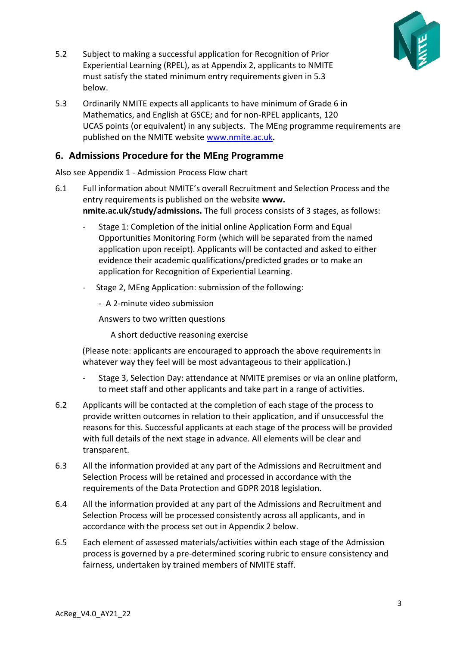

- 5.2 Subject to making a successful application for Recognition of Prior Experiential Learning (RPEL), as at Appendix 2, applicants to NMITE must satisfy the stated minimum entry requirements given in 5.3 below.
- 5.3 Ordinarily NMITE expects all applicants to have minimum of Grade 6 in Mathematics, and English at GSCE; and for non-RPEL applicants, 120 UCAS points (or equivalent) in any subjects. The MEng programme requirements are published on the NMITE website [www.nmite.ac.uk](http://www.nmite.ac.uk/)**.**

### <span id="page-2-0"></span>**6. Admissions Procedure for the MEng Programme**

Also see Appendix 1 - Admission Process Flow chart

- 6.1 Full information about NMITE's overall Recruitment and Selection Process and the entry requirements is published on the website **www. nmite.ac.uk/study/admissions.** The full process consists of 3 stages, as follows:
	- Stage 1: Completion of the initial online Application Form and Equal Opportunities Monitoring Form (which will be separated from the named application upon receipt). Applicants will be contacted and asked to either evidence their academic qualifications/predicted grades or to make an application for Recognition of Experiential Learning.
	- Stage 2, MEng Application: submission of the following:
		- A 2-minute video submission

Answers to two written questions

A short deductive reasoning exercise

(Please note: applicants are encouraged to approach the above requirements in whatever way they feel will be most advantageous to their application.)

- Stage 3, Selection Day: attendance at NMITE premises or via an online platform, to meet staff and other applicants and take part in a range of activities.
- 6.2 Applicants will be contacted at the completion of each stage of the process to provide written outcomes in relation to their application, and if unsuccessful the reasons for this. Successful applicants at each stage of the process will be provided with full details of the next stage in advance. All elements will be clear and transparent.
- 6.3 All the information provided at any part of the Admissions and Recruitment and Selection Process will be retained and processed in accordance with the requirements of the Data Protection and GDPR 2018 legislation.
- 6.4 All the information provided at any part of the Admissions and Recruitment and Selection Process will be processed consistently across all applicants, and in accordance with the process set out in Appendix 2 below.
- 6.5 Each element of assessed materials/activities within each stage of the Admission process is governed by a pre-determined scoring rubric to ensure consistency and fairness, undertaken by trained members of NMITE staff.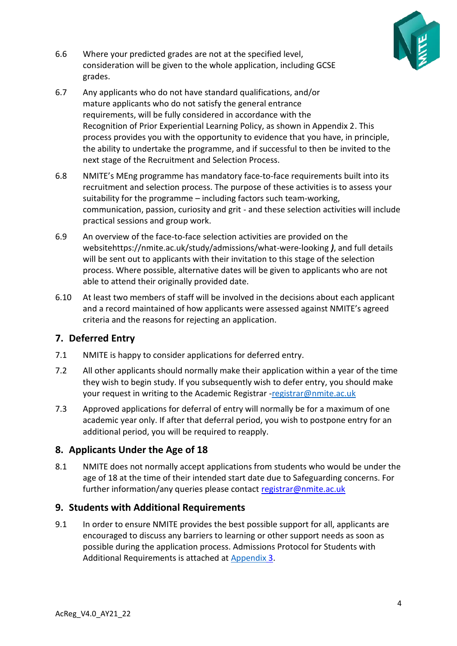

- 6.6 Where your predicted grades are not at the specified level, consideration will be given to the whole application, including GCSE grades.
- 6.7 Any applicants who do not have standard qualifications, and/or mature applicants who do not satisfy the general entrance requirements, will be fully considered in accordance with the Recognition of Prior Experiential Learning Policy, as shown in Appendix 2. This process provides you with the opportunity to evidence that you have, in principle, the ability to undertake the programme, and if successful to then be invited to the next stage of the Recruitment and Selection Process.
- 6.8 NMITE's MEng programme has mandatory face-to-face requirements built into its recruitment and selection process. The purpose of these activities is to assess your suitability for the programme – including factors such team-working, communication, passion, curiosity and grit - and these selection activities will include practical sessions and group work.
- 6.9 An overview of the face-to-face selection activities are provided on the websitehttps://nmite.ac.uk/study/admissions/what-were-looking *)*, and full details will be sent out to applicants with their invitation to this stage of the selection process. Where possible, alternative dates will be given to applicants who are not able to attend their originally provided date.
- 6.10 At least two members of staff will be involved in the decisions about each applicant and a record maintained of how applicants were assessed against NMITE's agreed criteria and the reasons for rejecting an application.

## <span id="page-3-0"></span>**7. Deferred Entry**

- 7.1 NMITE is happy to consider applications for deferred entry.
- 7.2 All other applicants should normally make their application within a year of the time they wish to begin study. If you subsequently wish to defer entry, you should make your request in writing to the Academic Registrar [-registrar@nmite.ac.uk](mailto:registrar@nmite.ac.uk)
- 7.3 Approved applications for deferral of entry will normally be for a maximum of one academic year only. If after that deferral period, you wish to postpone entry for an additional period, you will be required to reapply.

## <span id="page-3-1"></span>**8. Applicants Under the Age of 18**

8.1 NMITE does not normally accept applications from students who would be under the age of 18 at the time of their intended start date due to Safeguarding concerns. For further information/any queries please contact [registrar@nmite.ac.uk](mailto:registrar@nmite.ac.uk)

### <span id="page-3-2"></span>**9. Students with Additional Requirements**

9.1 In order to ensure NMITE provides the best possible support for all, applicants are encouraged to discuss any barriers to learning or other support needs as soon as possible during the application process. Admissions Protocol for Students with Additional Requirements is attached at [Appendix](#page-9-0) 3.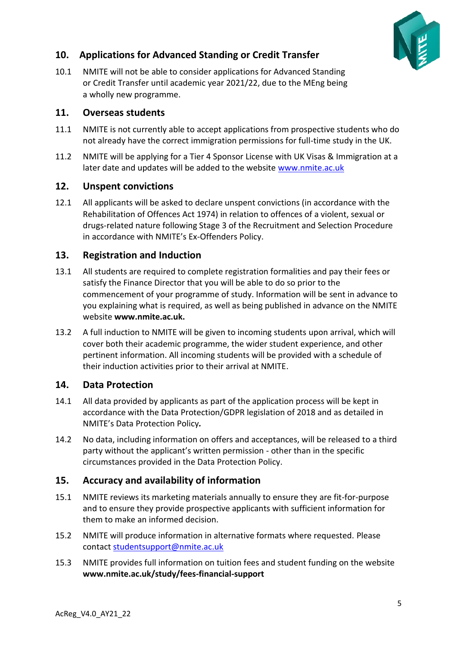

## <span id="page-4-0"></span>**10. Applications for Advanced Standing or Credit Transfer**

10.1 NMITE will not be able to consider applications for Advanced Standing or Credit Transfer until academic year 2021/22, due to the MEng being a wholly new programme.

#### <span id="page-4-1"></span>**11. Overseas students**

- 11.1 NMITE is not currently able to accept applications from prospective students who do not already have the correct immigration permissions for full-time study in the UK.
- 11.2 NMITE will be applying for a Tier 4 Sponsor License with UK Visas & Immigration at a later date and updates will be added to the website [www.nmite.ac.uk](http://www.nmite.ac.uk/)

#### <span id="page-4-2"></span>**12. Unspent convictions**

12.1 All applicants will be asked to declare unspent convictions (in accordance with the Rehabilitation of Offences Act 1974) in relation to offences of a violent, sexual or drugs-related nature following Stage 3 of the Recruitment and Selection Procedure in accordance with NMITE's Ex-Offenders Policy.

#### <span id="page-4-3"></span>**13. Registration and Induction**

- 13.1 All students are required to complete registration formalities and pay their fees or satisfy the Finance Director that you will be able to do so prior to the commencement of your programme of study. Information will be sent in advance to you explaining what is required, as well as being published in advance on the NMITE website **www.nmite.ac.uk.**
- 13.2 A full induction to NMITE will be given to incoming students upon arrival, which will cover both their academic programme, the wider student experience, and other pertinent information. All incoming students will be provided with a schedule of their induction activities prior to their arrival at NMITE.

### <span id="page-4-4"></span>**14. Data Protection**

- 14.1 All data provided by applicants as part of the application process will be kept in accordance with the Data Protection/GDPR legislation of 2018 and as detailed in NMITE's Data Protection Policy*.*
- 14.2 No data, including information on offers and acceptances, will be released to a third party without the applicant's written permission - other than in the specific circumstances provided in the Data Protection Policy.

### <span id="page-4-5"></span>**15. Accuracy and availability of information**

- 15.1 NMITE reviews its marketing materials annually to ensure they are fit-for-purpose and to ensure they provide prospective applicants with sufficient information for them to make an informed decision.
- 15.2 NMITE will produce information in alternative formats where requested. Please contact [studentsupport@nmite.ac.uk](mailto:studentsupport@nmite.ac.uk)
- 15.3 NMITE provides full information on tuition fees and student funding on the website **www.nmite.ac.uk/study/fees-financial-support**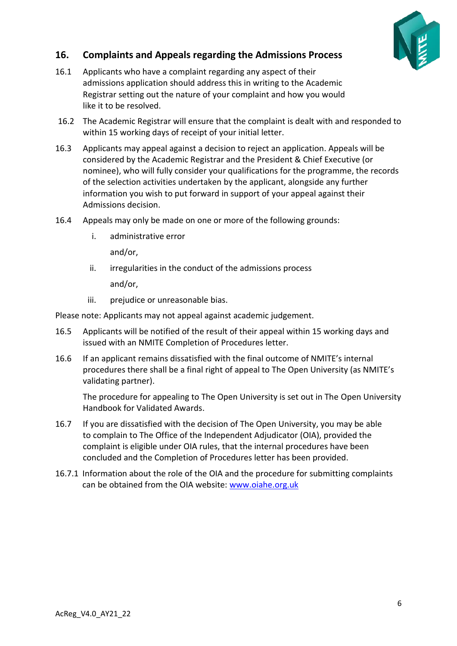

## <span id="page-5-0"></span>**16. Complaints and Appeals regarding the Admissions Process**

- 16.1 Applicants who have a complaint regarding any aspect of their admissions application should address this in writing to the Academic Registrar setting out the nature of your complaint and how you would like it to be resolved.
- 16.2 The Academic Registrar will ensure that the complaint is dealt with and responded to within 15 working days of receipt of your initial letter.
- 16.3 Applicants may appeal against a decision to reject an application. Appeals will be considered by the Academic Registrar and the President & Chief Executive (or nominee), who will fully consider your qualifications for the programme, the records of the selection activities undertaken by the applicant, alongside any further information you wish to put forward in support of your appeal against their Admissions decision.
- 16.4 Appeals may only be made on one or more of the following grounds:
	- i. administrative error

and/or,

- ii. irregularities in the conduct of the admissions process and/or,
- iii. prejudice or unreasonable bias.

Please note: Applicants may not appeal against academic judgement.

- 16.5 Applicants will be notified of the result of their appeal within 15 working days and issued with an NMITE Completion of Procedures letter.
- 16.6 If an applicant remains dissatisfied with the final outcome of NMITE's internal procedures there shall be a final right of appeal to The Open University (as NMITE's validating partner).

The procedure for appealing to The Open University is set out in The Open University Handbook for Validated Awards.

- 16.7 If you are dissatisfied with the decision of The Open University, you may be able to complain to The Office of the Independent Adjudicator (OIA), provided the complaint is eligible under OIA rules, that the internal procedures have been concluded and the Completion of Procedures letter has been provided.
- 16.7.1 Information about the role of the OIA and the procedure for submitting complaints can be obtained from the OIA website: [www.oiahe.org.uk](http://www.oiahe.org.uk/)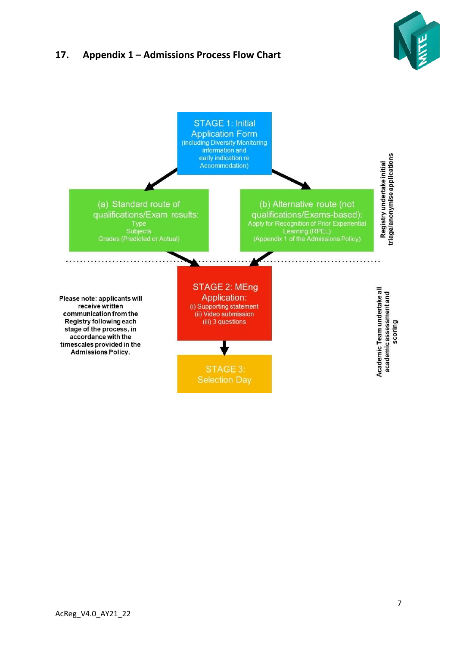## <span id="page-6-0"></span>**17. Appendix 1 – Admissions Process Flow Chart**



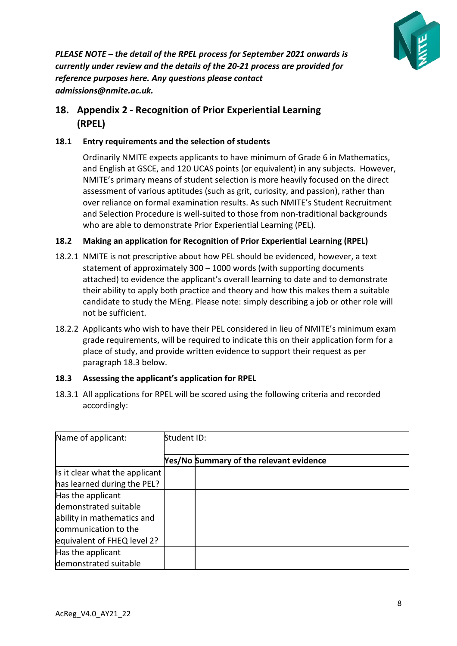

*PLEASE NOTE – the detail of the RPEL process for September 2021 onwards is currently under review and the details of the 20-21 process are provided for reference purposes here. Any questions please contact admissions@nmite.ac.uk.*

## <span id="page-7-0"></span>**18. Appendix 2 - Recognition of Prior Experiential Learning (RPEL)**

#### **18.1 Entry requirements and the selection of students**

Ordinarily NMITE expects applicants to have minimum of Grade 6 in Mathematics, and English at GSCE, and 120 UCAS points (or equivalent) in any subjects. However, NMITE's primary means of student selection is more heavily focused on the direct assessment of various aptitudes (such as grit, curiosity, and passion), rather than over reliance on formal examination results. As such NMITE's Student Recruitment and Selection Procedure is well-suited to those from non-traditional backgrounds who are able to demonstrate Prior Experiential Learning (PEL).

#### **18.2 Making an application for Recognition of Prior Experiential Learning (RPEL)**

- 18.2.1 NMITE is not prescriptive about how PEL should be evidenced, however, a text statement of approximately 300 – 1000 words (with supporting documents attached) to evidence the applicant's overall learning to date and to demonstrate their ability to apply both practice and theory and how this makes them a suitable candidate to study the MEng. Please note: simply describing a job or other role will not be sufficient.
- 18.2.2 Applicants who wish to have their PEL considered in lieu of NMITE's minimum exam grade requirements, will be required to indicate this on their application form for a place of study, and provide written evidence to support their request as per paragraph 18.3 below.

#### **18.3 Assessing the applicant's application for RPEL**

18.3.1 All applications for RPEL will be scored using the following criteria and recorded accordingly:

| Name of applicant:             | Student ID: |                                                |  |
|--------------------------------|-------------|------------------------------------------------|--|
|                                |             | <b>Yes/No Summary of the relevant evidence</b> |  |
| Is it clear what the applicant |             |                                                |  |
| has learned during the PEL?    |             |                                                |  |
| Has the applicant              |             |                                                |  |
| demonstrated suitable          |             |                                                |  |
| ability in mathematics and     |             |                                                |  |
| communication to the           |             |                                                |  |
| equivalent of FHEQ level 2?    |             |                                                |  |
| Has the applicant              |             |                                                |  |
| demonstrated suitable          |             |                                                |  |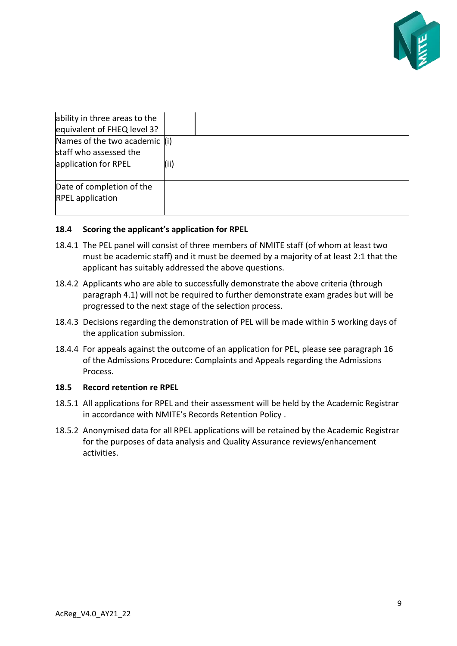

| ability in three areas to the<br>equivalent of FHEQ level 3?                      |      |
|-----------------------------------------------------------------------------------|------|
| Names of the two academic $(i)$<br>staff who assessed the<br>application for RPEL | (ii) |
| Date of completion of the<br><b>RPEL</b> application                              |      |

#### **18.4 Scoring the applicant's application for RPEL**

- 18.4.1 The PEL panel will consist of three members of NMITE staff (of whom at least two must be academic staff) and it must be deemed by a majority of at least 2:1 that the applicant has suitably addressed the above questions.
- 18.4.2 Applicants who are able to successfully demonstrate the above criteria (through paragraph 4.1) will not be required to further demonstrate exam grades but will be progressed to the next stage of the selection process.
- 18.4.3 Decisions regarding the demonstration of PEL will be made within 5 working days of the application submission.
- 18.4.4 For appeals against the outcome of an application for PEL, please see paragraph 16 of the Admissions Procedure: Complaints and Appeals regarding the Admissions Process.

#### **18.5 Record retention re RPEL**

- 18.5.1 All applications for RPEL and their assessment will be held by the Academic Registrar in accordance with NMITE's Records Retention Policy .
- 18.5.2 Anonymised data for all RPEL applications will be retained by the Academic Registrar for the purposes of data analysis and Quality Assurance reviews/enhancement activities.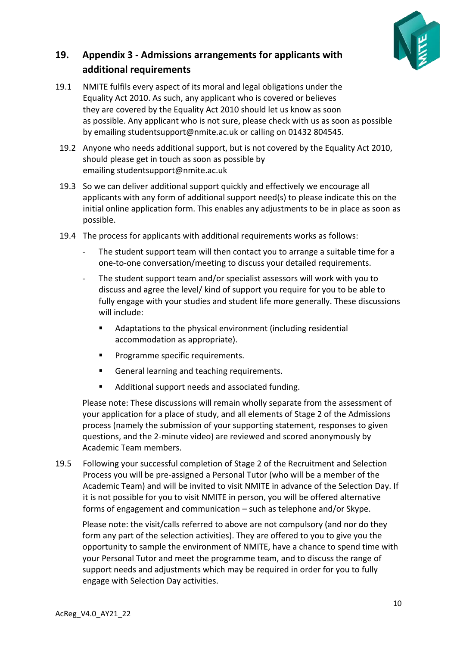

# <span id="page-9-0"></span>**19. Appendix 3 - Admissions arrangements for applicants with additional requirements**

- 19.1 NMITE fulfils every aspect of its moral and legal obligations under the Equality Act 2010. As such, any applicant who is covered or believes they are covered by the Equality Act 2010 should let us know as soon as possible. Any applicant who is not sure, please check with us as soon as possible by emailing studentsupport@nmite.ac.uk or calling on 01432 804545.
- 19.2 Anyone who needs additional support, but is not covered by the Equality Act 2010, should please get in touch as soon as possible by emailing studentsupport@nmite.ac.uk
- 19.3 So we can deliver additional support quickly and effectively we encourage all applicants with any form of additional support need(s) to please indicate this on the initial online application form. This enables any adjustments to be in place as soon as possible.
- 19.4 The process for applicants with additional requirements works as follows:
	- The student support team will then contact you to arrange a suitable time for a one-to-one conversation/meeting to discuss your detailed requirements.
	- The student support team and/or specialist assessors will work with you to discuss and agree the level/ kind of support you require for you to be able to fully engage with your studies and student life more generally. These discussions will include:
		- Adaptations to the physical environment (including residential accommodation as appropriate).
		- Programme specific requirements.
		- General learning and teaching requirements.
		- Additional support needs and associated funding.

Please note: These discussions will remain wholly separate from the assessment of your application for a place of study, and all elements of Stage 2 of the Admissions process (namely the submission of your supporting statement, responses to given questions, and the 2-minute video) are reviewed and scored anonymously by Academic Team members. 

19.5 Following your successful completion of Stage 2 of the Recruitment and Selection Process you will be pre-assigned a Personal Tutor (who will be a member of the Academic Team) and will be invited to visit NMITE in advance of the Selection Day. If it is not possible for you to visit NMITE in person, you will be offered alternative forms of engagement and communication – such as telephone and/or Skype.

Please note: the visit/calls referred to above are not compulsory (and nor do they form any part of the selection activities). They are offered to you to give you the opportunity to sample the environment of NMITE, have a chance to spend time with your Personal Tutor and meet the programme team, and to discuss the range of support needs and adjustments which may be required in order for you to fully engage with Selection Day activities.